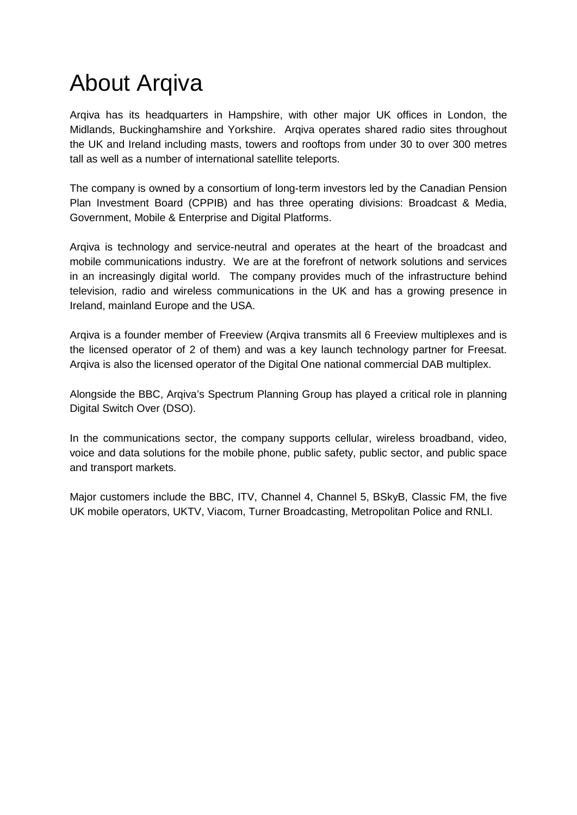# About Arqiva

Arqiva has its headquarters in Hampshire, with other major UK offices in London, the Midlands, Buckinghamshire and Yorkshire. Arqiva operates shared radio sites throughout the UK and Ireland including masts, towers and rooftops from under 30 to over 300 metres tall as well as a number of international satellite teleports.

The company is owned by a consortium of long-term investors led by the Canadian Pension Plan Investment Board (CPPIB) and has three operating divisions: Broadcast & Media, Government, Mobile & Enterprise and Digital Platforms.

Arqiva is technology and service-neutral and operates at the heart of the broadcast and mobile communications industry. We are at the forefront of network solutions and services in an increasingly digital world. The company provides much of the infrastructure behind television, radio and wireless communications in the UK and has a growing presence in Ireland, mainland Europe and the USA.

Arqiva is a founder member of Freeview (Arqiva transmits all 6 Freeview multiplexes and is the licensed operator of 2 of them) and was a key launch technology partner for Freesat. Arqiva is also the licensed operator of the Digital One national commercial DAB multiplex.

Alongside the BBC, Arqiva's Spectrum Planning Group has played a critical role in planning Digital Switch Over (DSO).

In the communications sector, the company supports cellular, wireless broadband, video, voice and data solutions for the mobile phone, public safety, public sector, and public space and transport markets.

Major customers include the BBC, ITV, Channel 4, Channel 5, BSkyB, Classic FM, the five UK mobile operators, UKTV, Viacom, Turner Broadcasting, Metropolitan Police and RNLI.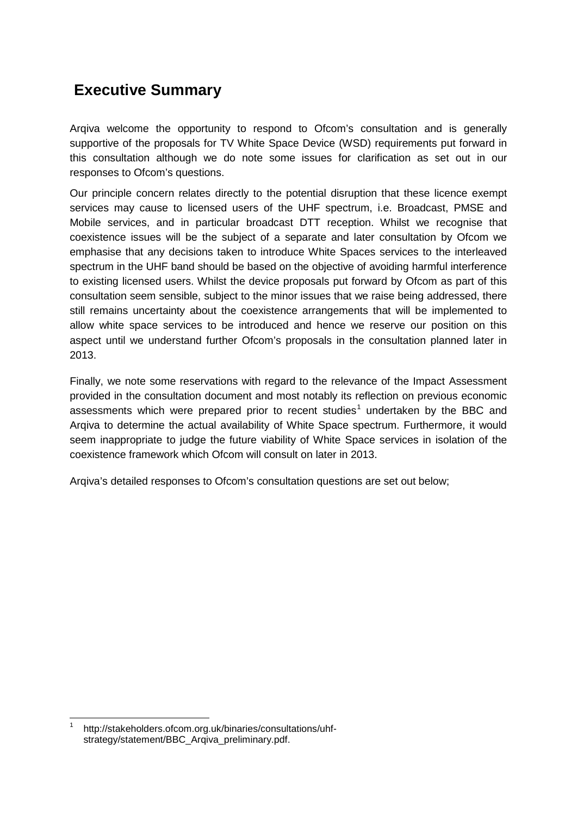## **Executive Summary**

Arqiva welcome the opportunity to respond to Ofcom's consultation and is generally supportive of the proposals for TV White Space Device (WSD) requirements put forward in this consultation although we do note some issues for clarification as set out in our responses to Ofcom's questions.

Our principle concern relates directly to the potential disruption that these licence exempt services may cause to licensed users of the UHF spectrum, i.e. Broadcast, PMSE and Mobile services, and in particular broadcast DTT reception. Whilst we recognise that coexistence issues will be the subject of a separate and later consultation by Ofcom we emphasise that any decisions taken to introduce White Spaces services to the interleaved spectrum in the UHF band should be based on the objective of avoiding harmful interference to existing licensed users. Whilst the device proposals put forward by Ofcom as part of this consultation seem sensible, subject to the minor issues that we raise being addressed, there still remains uncertainty about the coexistence arrangements that will be implemented to allow white space services to be introduced and hence we reserve our position on this aspect until we understand further Ofcom's proposals in the consultation planned later in 2013.

Finally, we note some reservations with regard to the relevance of the Impact Assessment provided in the consultation document and most notably its reflection on previous economic assessments which were prepared prior to recent studies<sup>[1](#page-1-0)</sup> undertaken by the BBC and Arqiva to determine the actual availability of White Space spectrum. Furthermore, it would seem inappropriate to judge the future viability of White Space services in isolation of the coexistence framework which Ofcom will consult on later in 2013.

Arqiva's detailed responses to Ofcom's consultation questions are set out below;

<span id="page-1-0"></span>http://stakeholders.ofcom.org.uk/binaries/consultations/uhfstrategy/statement/BBC\_Arqiva\_preliminary.pdf.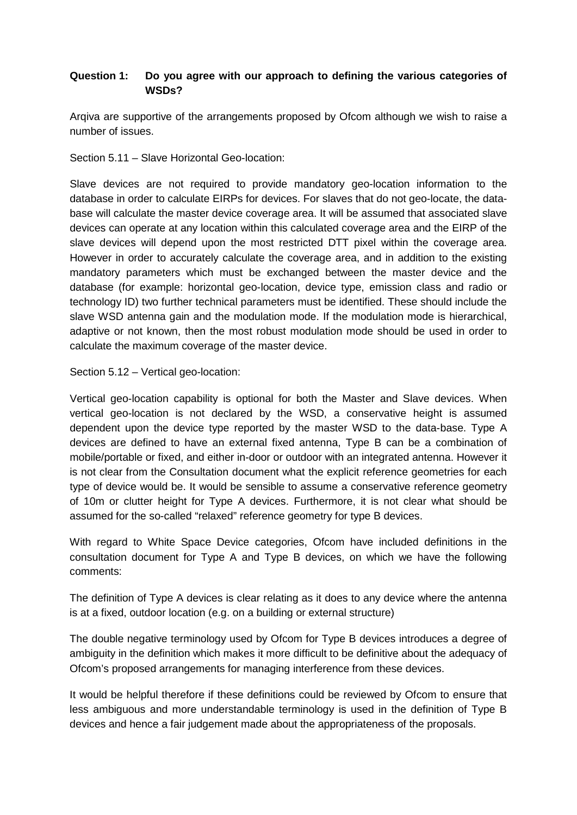#### **Question 1: Do you agree with our approach to defining the various categories of WSDs?**

Arqiva are supportive of the arrangements proposed by Ofcom although we wish to raise a number of issues.

Section 5.11 – Slave Horizontal Geo-location:

Slave devices are not required to provide mandatory geo-location information to the database in order to calculate EIRPs for devices. For slaves that do not geo-locate, the database will calculate the master device coverage area. It will be assumed that associated slave devices can operate at any location within this calculated coverage area and the EIRP of the slave devices will depend upon the most restricted DTT pixel within the coverage area. However in order to accurately calculate the coverage area, and in addition to the existing mandatory parameters which must be exchanged between the master device and the database (for example: horizontal geo-location, device type, emission class and radio or technology ID) two further technical parameters must be identified. These should include the slave WSD antenna gain and the modulation mode. If the modulation mode is hierarchical, adaptive or not known, then the most robust modulation mode should be used in order to calculate the maximum coverage of the master device.

Section 5.12 – Vertical geo-location:

Vertical geo-location capability is optional for both the Master and Slave devices. When vertical geo-location is not declared by the WSD, a conservative height is assumed dependent upon the device type reported by the master WSD to the data-base. Type A devices are defined to have an external fixed antenna, Type B can be a combination of mobile/portable or fixed, and either in-door or outdoor with an integrated antenna. However it is not clear from the Consultation document what the explicit reference geometries for each type of device would be. It would be sensible to assume a conservative reference geometry of 10m or clutter height for Type A devices. Furthermore, it is not clear what should be assumed for the so-called "relaxed" reference geometry for type B devices.

With regard to White Space Device categories, Ofcom have included definitions in the consultation document for Type A and Type B devices, on which we have the following comments:

The definition of Type A devices is clear relating as it does to any device where the antenna is at a fixed, outdoor location (e.g. on a building or external structure)

The double negative terminology used by Ofcom for Type B devices introduces a degree of ambiguity in the definition which makes it more difficult to be definitive about the adequacy of Ofcom's proposed arrangements for managing interference from these devices.

It would be helpful therefore if these definitions could be reviewed by Ofcom to ensure that less ambiguous and more understandable terminology is used in the definition of Type B devices and hence a fair judgement made about the appropriateness of the proposals.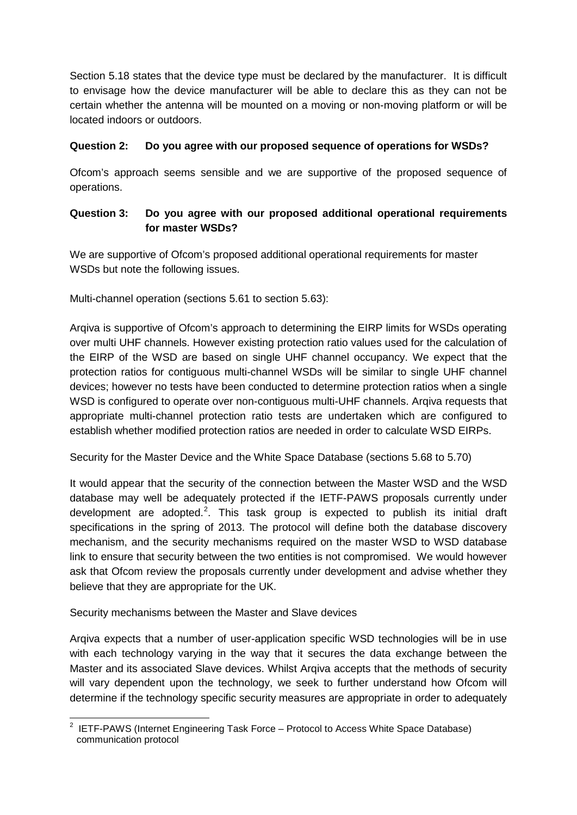Section 5.18 states that the device type must be declared by the manufacturer. It is difficult to envisage how the device manufacturer will be able to declare this as they can not be certain whether the antenna will be mounted on a moving or non-moving platform or will be located indoors or outdoors.

#### **Question 2: Do you agree with our proposed sequence of operations for WSDs?**

Ofcom's approach seems sensible and we are supportive of the proposed sequence of operations.

#### **Question 3: Do you agree with our proposed additional operational requirements for master WSDs?**

We are supportive of Ofcom's proposed additional operational requirements for master WSDs but note the following issues.

Multi-channel operation (sections 5.61 to section 5.63):

Arqiva is supportive of Ofcom's approach to determining the EIRP limits for WSDs operating over multi UHF channels. However existing protection ratio values used for the calculation of the EIRP of the WSD are based on single UHF channel occupancy. We expect that the protection ratios for contiguous multi-channel WSDs will be similar to single UHF channel devices; however no tests have been conducted to determine protection ratios when a single WSD is configured to operate over non-contiguous multi-UHF channels. Argiva requests that appropriate multi-channel protection ratio tests are undertaken which are configured to establish whether modified protection ratios are needed in order to calculate WSD EIRPs.

Security for the Master Device and the White Space Database (sections 5.68 to 5.70)

It would appear that the security of the connection between the Master WSD and the WSD database may well be adequately protected if the IETF-PAWS proposals currently under development are adopted.<sup>[2](#page-3-0)</sup>. This task group is expected to publish its initial draft specifications in the spring of 2013. The protocol will define both the database discovery mechanism, and the security mechanisms required on the master WSD to WSD database link to ensure that security between the two entities is not compromised. We would however ask that Ofcom review the proposals currently under development and advise whether they believe that they are appropriate for the UK.

Security mechanisms between the Master and Slave devices

Arqiva expects that a number of user-application specific WSD technologies will be in use with each technology varying in the way that it secures the data exchange between the Master and its associated Slave devices. Whilst Arqiva accepts that the methods of security will vary dependent upon the technology, we seek to further understand how Ofcom will determine if the technology specific security measures are appropriate in order to adequately

<span id="page-3-0"></span> $2$  IETF-PAWS (Internet Engineering Task Force – Protocol to Access White Space Database) communication protocol